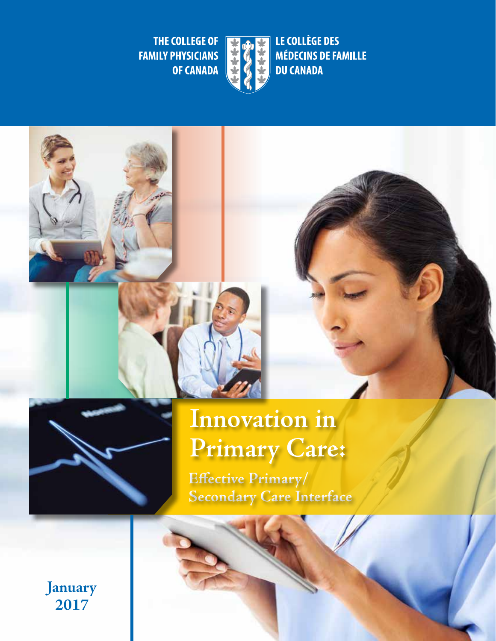LE COLLÈGE DES

**DU CANADA** 

**MÉDECINS DE FAMILLE** 

THE COLLEGE OF **FAMILY PHYSICIANS OF CANADA** 



# **Innovation in Primary Care:**

**Efective Primary/ Secondary Care Interface** 

**January 2017**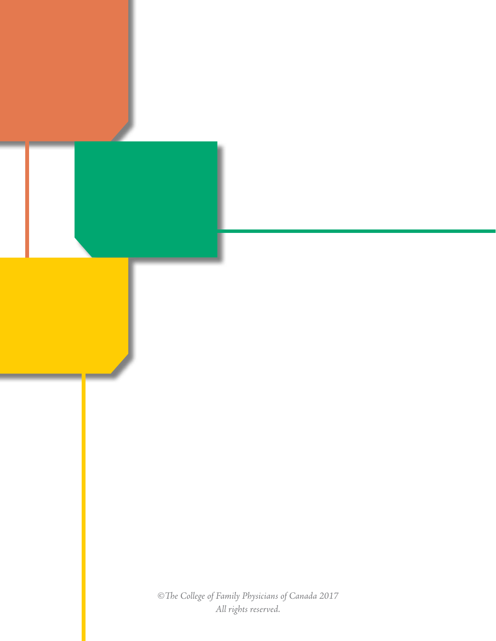*©Te College of Family Physicians of Canada 2017 All rights reserved.*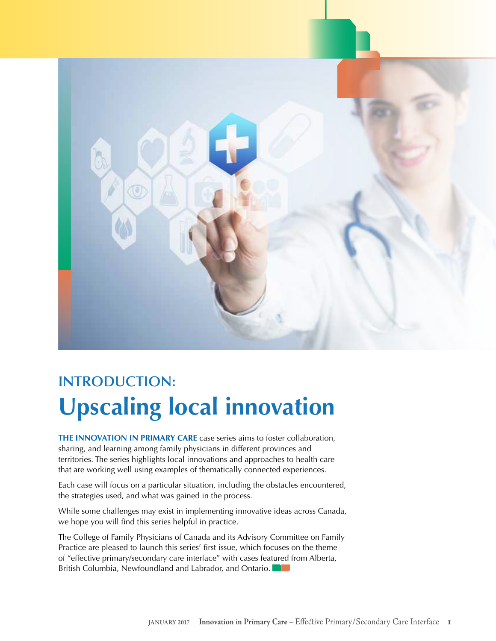

# **INTRODUCTION: Upscaling local innovation**

**THE INNOVATION IN PRIMARY CARE** case series aims to foster collaboration, sharing, and learning among family physicians in different provinces and territories. The series highlights local innovations and approaches to health care that are working well using examples of thematically connected experiences.

Each case will focus on a particular situation, including the obstacles encountered, the strategies used, and what was gained in the process.

While some challenges may exist in implementing innovative ideas across Canada, we hope you will find this series helpful in practice.

The College of Family Physicians of Canada and its Advisory Committee on Family Practice are pleased to launch this series' first issue, which focuses on the theme of "effective primary/secondary care interface" with cases featured from Alberta, British Columbia, Newfoundland and Labrador, and Ontario.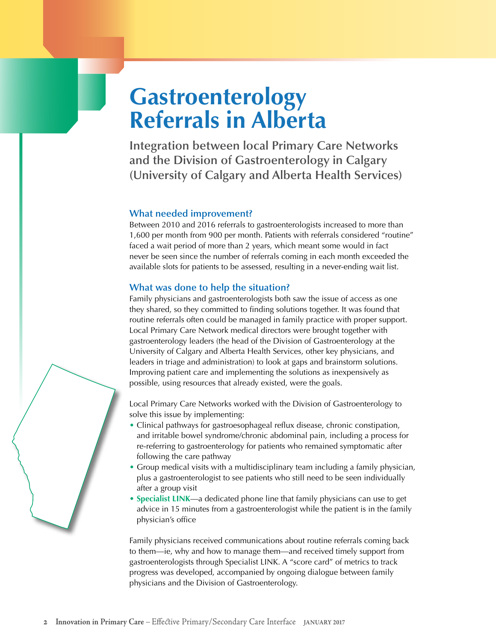# **Gastroenterology Referrals in Alberta**

**Integration between local Primary Care Networks and the Division of Gastroenterology in Calgary (University of Calgary and Alberta Health Services)** 

#### **What needed improvement?**

Between 2010 and 2016 referrals to gastroenterologists increased to more than 1,600 per month from 900 per month. Patients with referrals considered "routine" faced a wait period of more than 2 years, which meant some would in fact never be seen since the number of referrals coming in each month exceeded the available slots for patients to be assessed, resulting in a never-ending wait list.

#### **What was done to help the situation?**

Family physicians and gastroenterologists both saw the issue of access as one they shared, so they committed to finding solutions together. It was found that routine referrals often could be managed in family practice with proper support. Local Primary Care Network medical directors were brought together with gastroenterology leaders (the head of the Division of Gastroenterology at the University of Calgary and Alberta Health Services, other key physicians, and leaders in triage and administration) to look at gaps and brainstorm solutions. Improving patient care and implementing the solutions as inexpensively as possible, using resources that already existed, were the goals.

Local Primary Care Networks worked with the Division of Gastroenterology to solve this issue by implementing:

- Clinical pathways for gastroesophageal reflux disease, chronic constipation, and irritable bowel syndrome/chronic abdominal pain, including a process for re-referring to gastroenterology for patients who remained symptomatic after following the care pathway
- Group medical visits with a multidisciplinary team including a family physician, plus a gastroenterologist to see patients who still need to be seen individually after a group visit
- **[Specialist LINK](http://www.calgarygi.com/index.php?mode=webpage&id=779)**—a dedicated phone line that family physicians can use to get advice in 15 minutes from a gastroenterologist while the patient is in the family physician's office

Family physicians received communications about routine referrals coming back to them—ie, why and how to manage them—and received timely support from gastroenterologists through Specialist LINK. A "score card" of metrics to track progress was developed, accompanied by ongoing dialogue between family physicians and the Division of Gastroenterology.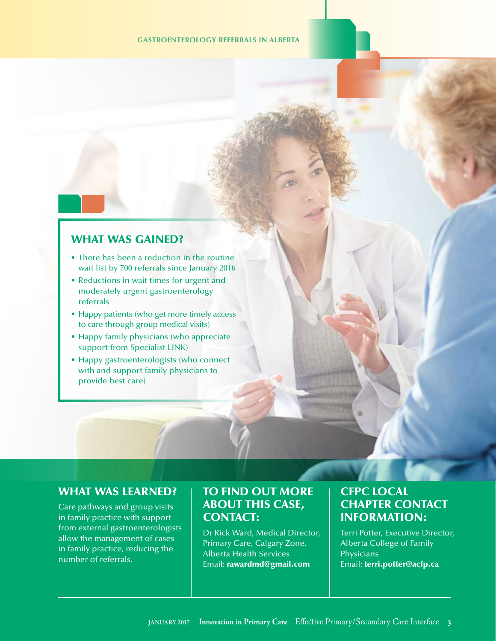#### **GASTROENTEROLOGY REFERRALS IN ALBERTA**

#### WHAT WAS GAINED?

- There has been a reduction in the routine wait list by 700 referrals since January 2016
- Reductions in wait times for urgent and moderately urgent gastroenterology referrals
- Happy patients (who get more timely access to care through group medical visits)
- Happy family physicians (who appreciate support from Specialist LINK)
- Happy gastroenterologists (who connect with and support family physicians to provide best care)

## WHAT WAS LEARNED?

 Care pathways and group visits in family practice with support from external gastroenterologists allow the management of cases in family practice, reducing the number of referrals.

# TO FIND OUT MORE ABOUT THIS CASE, CONTACT:

 Dr Rick Ward, Medical Director, Primary Care, Calgary Zone, Alberta Health Services Email: [rawardmd@gmail.com](mailto:rawardmd@gmail.com) 

# CFPC LOCAL CHAPTER CONTACT INFORMATION:

 Terri Potter, Executive Director, Alberta College of Family **Physicians** Email: [terri.potter@acfp.ca](mailto:terri.potter@acfp.ca)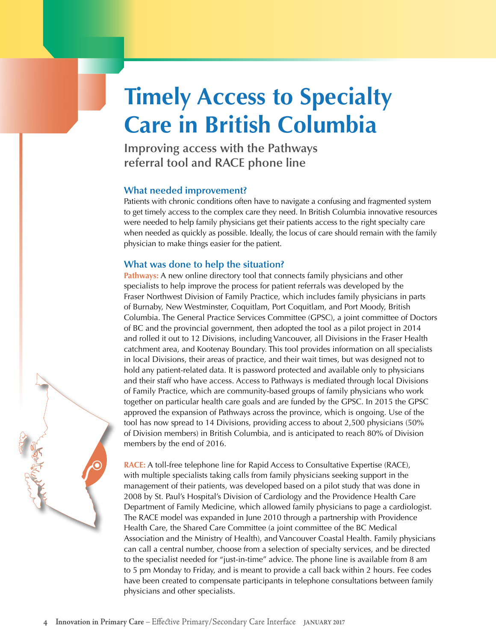# **Timely Access to Specialty Care in British Columbia**

**Improving access with the Pathways referral tool and RACE phone line** 

#### **What needed improvement?**

Patients with chronic conditions often have to navigate a confusing and fragmented system to get timely access to the complex care they need. In British Columbia innovative resources were needed to help family physicians get their patients access to the right specialty care when needed as quickly as possible. Ideally, the locus of care should remain with the family physician to make things easier for the patient.

#### **What was done to help the situation?**

**Pathways:** A new online directory tool that connects family physicians and other specialists to help improve the process for patient referrals was developed by the Fraser Northwest Division of Family Practice, which includes family physicians in parts of Burnaby, New Westminster, Coquitlam, Port Coquitlam, and Port Moody, British Columbia. The General Practice Services Committee (GPSC), a joint committee of Doctors of BC and the provincial government, then adopted the tool as a pilot project in 2014 and rolled it out to 12 Divisions, including Vancouver, all Divisions in the Fraser Health catchment area, and Kootenay Boundary. This tool provides information on all specialists in local Divisions, their areas of practice, and their wait times, but was designed not to hold any patient-related data. It is password protected and available only to physicians and their staff who have access. Access to Pathways is mediated through local Divisions of Family Practice, which are community-based groups of family physicians who work together on particular health care goals and are funded by the GPSC. In 2015 the GPSC approved the expansion of Pathways across the province, which is ongoing. Use of the tool has now spread to 14 Divisions, providing access to about 2,500 physicians (50% of Division members) in British Columbia, and is anticipated to reach 80% of Division members by the end of 2016.

**[RACE:](http://www.raceconnect.ca/)** A toll-free telephone line for Rapid Access to Consultative Expertise (RACE), with multiple specialists taking calls from family physicians seeking support in the management of their patients, was developed based on a pilot study that was done in 2008 by St. Paul's Hospital's Division of Cardiology and the Providence Health Care Department of Family Medicine, which allowed family physicians to page a cardiologist. The RACE model was expanded in June 2010 through a partnership with Providence Health Care, the Shared Care Committee (a joint committee of the BC Medical Association and the Ministry of Health), and Vancouver Coastal Health. Family physicians can call a central number, choose from a selection of specialty services, and be directed to the specialist needed for "just-in-time" advice. The phone line is available from 8 am to 5 pm Monday to Friday, and is meant to provide a call back within 2 hours. Fee codes have been created to compensate participants in telephone consultations between family physicians and other specialists.

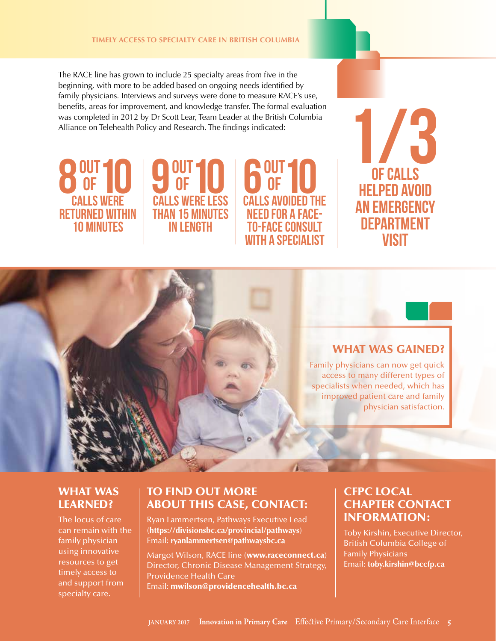The RACE line has grown to include 25 specialty areas from five in the beginning, with more to be added based on ongoing needs identified by family physicians. Interviews and surveys were done to measure RACE's use, benefits, areas for improvement, and knowledge transfer. The formal evaluation was completed in 2012 by Dr Scott Lear, Team Leader at the British Columbia Alliance on Telehealth Policy and Research. The findings indicated:





6 OUT 10

**CALLS AVOIDED THE<br>NEED FOR A FACE-**

TO-FACE CONSULT WITH A SPECIALIST



## WHAT WAS GAINED?

 Family physicians can now get quick access to many different types of specialists when needed, which has improved patient care and family physician satisfaction.

## WHAT WAS LEARNED?

 The locus of care can remain with the family physician using innovative resources to get timely access to and support from specialty care.

## TO FIND OUT MORE ABOUT THIS CASE, CONTACT:

 Ryan Lammertsen, Pathways Executive Lead (**<https://divisionsbc.ca/provincial/pathways>**) Email: **[ryanlammertsen@pathwaysbc.ca](mailto:ryanlammertsen@pathwaysbc.ca)** 

Margot Wilson, RACE line (<www.raceconnect.ca>) Director, Chronic Disease Management Strategy, Providence Health Care Email: [mwilson@providencehealth.bc.ca](mailto:mwilson@providencehealth.bc.ca) 

# CFPC LOCAL CHAPTER CONTACT INFORMATION:

 Toby Kirshin, Executive Director, British Columbia College of Family Physicians Email: **[toby.kirshin@bccfp.ca](mailto:toby.kirshin@bccfp.ca)**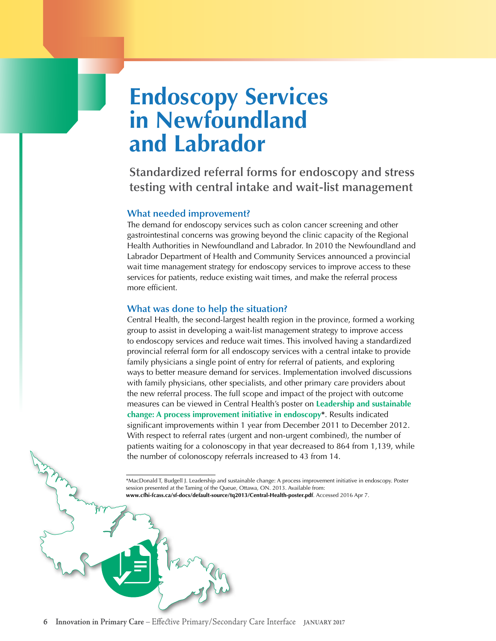# **Endoscopy Services in Newfoundland and Labrador**

**Standardized referral forms for endoscopy and stress testing with central intake and wait-list management** 

#### **What needed improvement?**

The demand for endoscopy services such as colon cancer screening and other gastrointestinal concerns was growing beyond the clinic capacity of the Regional Health Authorities in Newfoundland and Labrador. In 2010 the Newfoundland and Labrador Department of Health and Community Services announced a provincial wait time management strategy for endoscopy services to improve access to these services for patients, reduce existing wait times, and make the referral process more efficient.

#### **What was done to help the situation?**

Central Health, the second-largest health region in the province, formed a working group to assist in developing a wait-list management strategy to improve access to endoscopy services and reduce wait times. This involved having a standardized provincial referral form for all endoscopy services with a central intake to provide family physicians a single point of entry for referral of patients, and exploring ways to better measure demand for services. Implementation involved discussions with family physicians, other specialists, and other primary care providers about the new referral process. The full scope and impact of the project with outcome measures can be viewed in Central Health's poster on **[Leadership and sustainable](http://www.cfhi-fcass.ca/sf-docs/default-source/tq2013/Central-Health-poster.pdf)  [change: A process improvement initiative in endoscopy\\*](http://www.cfhi-fcass.ca/sf-docs/default-source/tq2013/Central-Health-poster.pdf)**. Results indicated significant improvements within 1 year from December 2011 to December 2012. With respect to referral rates (urgent and non-urgent combined), the number of patients waiting for a colonoscopy in that year decreased to 864 from 1,139, while the number of colonoscopy referrals increased to 43 from 14.

\*MacDonald T, Budgell J. Leadership and sustainable change: A process improvement initiative in endoscopy. Poster session presented at the Taming of the Queue, Ottawa, ON. 2013. Available from: **www.cfhi-fcass.ca/sf-docs/default-source/tq2013/Central-Health-poster.pdf**. Accessed 2016 Apr 7.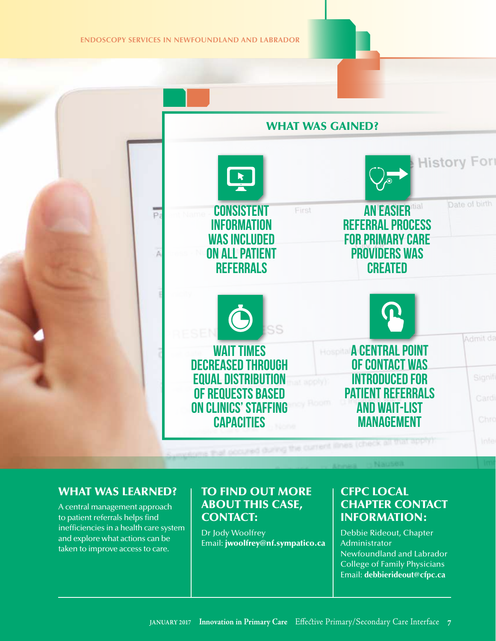**ENDOSCOPY SERVICES IN NEWFOUNDLAND AND LABRADOR** 





#### WHAT WAS LEARNED?

 A central management approach to patient referrals helps find inefficiencies in a health care system and explore what actions can be taken to improve access to care.

## TO FIND OUT MORE ABOUT THIS CASE, CONTACT:

 Debbie Rideout, Chapter Dr Jody Woolfrey Email: [jwoolfrey@nf.sympatico.ca](mailto:jwoolfrey@nf.sympatico.ca) 

## CFPC LOCAL CHAPTER CONTACT INFORMATION:

 Newfoundland and Labrador College of Family Physicians Administrator Email: **[debbierideout@cfpc.ca](mailto:debbierideout@cfpc.ca)**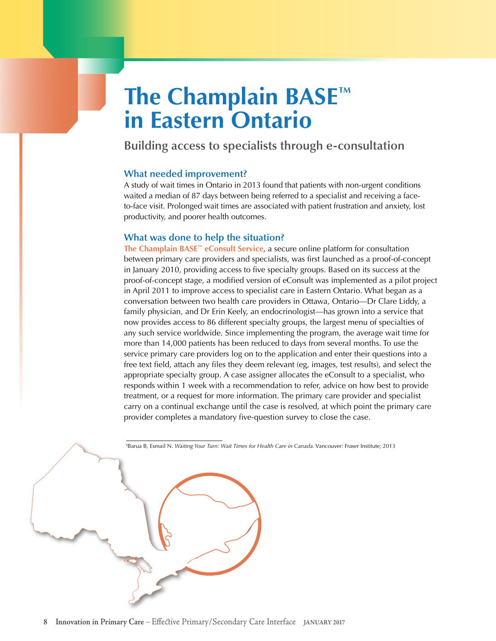# **The Champlain BASE™ in Eastern Ontario**

**Building access to specialists through e-consultation** 

#### **What needed improvement?**

A study of wait times in Ontario in 2013 found that patients with non-urgent conditions waited a median of 87 days between being referred to a specialist and receiving a faceto-face visit. Prolonged wait times are associated with patient frustration and anxiety, lost productivity, and poorer health outcomes.

#### **What was done to help the situation?**

**[The Champlain BASE™ eConsult Service](http://www.champlainbaseeconsult.com/)**, a secure online platform for consultation between primary care providers and specialists, was first launched as a proof-of-concept in January 2010, providing access to five specialty groups. Based on its success at the proof-of-concept stage, a modified version of eConsult was implemented as a pilot project in April 2011 to improve access to specialist care in Eastern Ontario. What began as a conversation between two health care providers in Ottawa, Ontario—Dr Clare Liddy, a family physician, and Dr Erin Keely, an endocrinologist—has grown into a service that now provides access to 86 different specialty groups, the largest menu of specialties of any such service worldwide. Since implementing the program, the average wait time for more than 14,000 patients has been reduced to days from several months. To use the service primary care providers log on to the application and enter their questions into a free text field, attach any files they deem relevant (eg, images, test results), and select the appropriate specialty group. A case assigner allocates the eConsult to a specialist, who responds within 1 week with a recommendation to refer, advice on how best to provide treatment, or a request for more information. The primary care provider and specialist carry on a continual exchange until the case is resolved, at which point the primary care provider completes a mandatory five-question survey to close the case.

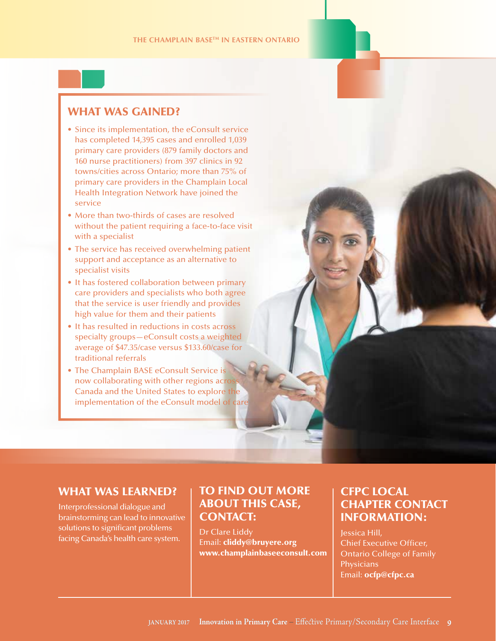## WHAT WAS GAINED?

- Since its implementation, the eConsult service has completed 14,395 cases and enrolled 1,039 primary care providers (879 family doctors and 160 nurse practitioners) from 397 clinics in 92 towns/cities across Ontario; more than 75% of primary care providers in the Champlain Local Health Integration Network have joined the service
- More than two-thirds of cases are resolved without the patient requiring a face-to-face visit with a specialist
- The service has received overwhelming patient support and acceptance as an alternative to specialist visits
- It has fostered collaboration between primary care providers and specialists who both agree that the service is user friendly and provides high value for them and their patients
- It has resulted in reductions in costs across specialty groups—eConsult costs a weighted average of \$47.35/case versus \$133.60/case for traditional referrals
- The Champlain BASE eConsult Service is now collaborating with other regions across Canada and the United States to explore the implementation of the eConsult model of care

#### WHAT WAS LEARNED?

 Interprofessional dialogue and brainstorming can lead to innovative solutions to significant problems Solutions to significant problems<br>facing Canada's health care system. The suit **cliddy** the **property of the clind of Execut** 

# TO FIND OUT MORE | CFPC LOCAL<br>ABOUT THIS CASE. | CHAPTER CO CONTACT: INFORMATION:

Dr Clare Liddy **Jessica Hill**, Email: cliddy@bruyere.org [www.champlainbaseeconsult.c](http://www.champlainbaseeconsult.com/)om

# **CHAPTER CONTACT**

**Chief Executive Officer, Ontario College of Family Physicians** Email: ocfp@cfpc.ca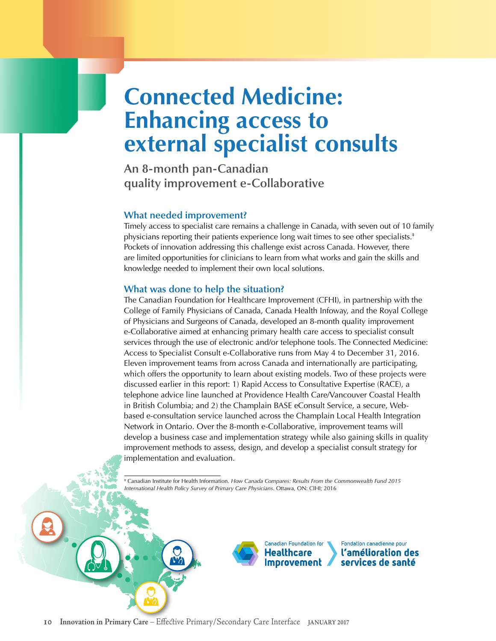# **Connected Medicine: Enhancing access to external specialist consults**

**An 8-month pan-Canadian quality improvement e-Collaborative** 

#### **What needed improvement?**

physicians reporting their patients experience long wait times to see other specialists.<sup>#</sup> Timely access to specialist care remains a challenge in Canada, with seven out of 10 family Pockets of innovation addressing this challenge exist across Canada. However, there are limited opportunities for clinicians to learn from what works and gain the skills and knowledge needed to implement their own local solutions.

#### **What was done to help the situation?**

The Canadian Foundation for Healthcare Improvement (CFHI), in partnership with the College of Family Physicians of Canada, Canada Health Infoway, and the Royal College of Physicians and Surgeons of Canada, developed an 8-month quality improvement e-Collaborative aimed at enhancing primary health care access to specialist consult services through the use of electronic and/or telephone tools. The Connected Medicine: Access to Specialist Consult e-Collaborative runs from May 4 to December 31, 2016. Eleven improvement teams from across Canada and internationally are participating, which offers the opportunity to learn about existing models. Two of these projects were discussed earlier in this report: 1) Rapid Access to Consultative Expertise (RACE), a telephone advice line launched at Providence Health Care/Vancouver Coastal Health in British Columbia; and 2) the Champlain BASE eConsult Service, a secure, Webbased e-consultation service launched across the Champlain Local Health Integration Network in Ontario. Over the 8-month e-Collaborative, improvement teams will develop a business case and implementation strategy while also gaining skills in quality improvement methods to assess, design, and develop a specialist consult strategy for implementation and evaluation.

‡ Canadian Institute for Health Information. *How Canada Compares: Results From the Commonwealth Fund 2015 International Health Policy Survey of Primary Care Physicians*. Ottawa, ON: CIHI; 2016



Fondation canadienne pour l'amélioration des services de santé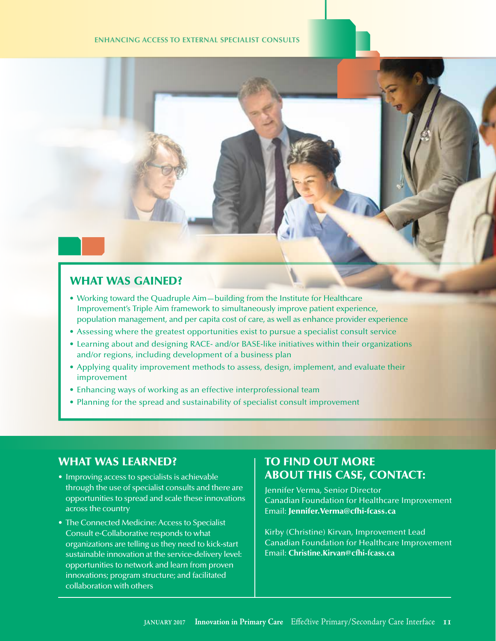#### **ENHANCING ACCESS TO EXTERNAL SPECIALIST CONSULTS**



## WHAT WAS GAINED?

- Working toward the Quadruple Aim—building from the Institute for Healthcare Improvement's Triple Aim framework to simultaneously improve patient experience, population management, and per capita cost of care, as well as enhance provider experience
- Assessing where the greatest opportunities exist to pursue a specialist consult service
- Learning about and designing RACE- and/or BASE-like initiatives within their organizations and/or regions, including development of a business plan
- Applying quality improvement methods to assess, design, implement, and evaluate their improvement
- Enhancing ways of working as an effective interprofessional team
- Planning for the spread and sustainability of specialist consult improvement

#### WHAT WAS LEARNED?

- Improving access to specialists is achievable through the use of specialist consults and there are opportunities to spread and scale these innovations across the country
- The Connected Medicine: Access to Specialist Consult e-Collaborative responds to what organizations are telling us they need to kick-start sustainable innovation at the service-delivery level: opportunities to network and learn from proven innovations; program structure; and facilitated collaboration with others

## TO FIND OUT MORE ABOUT THIS CASE, CONTACT:

 Jennifer Verma, Senior Director Canadian Foundation for Healthcare Improvement Email: [Jennifer.Verma@cfhi-fcass.ca](mailto:Jennifer.Verma@cfhi-fcass.ca) 

 Kirby (Christine) Kirvan, Improvement Lead Canadian Foundation for Healthcare Improvement Email: **[Christine.Kirvan@cfhi-fcass.ca](mailto:Christine.Kirvan@cfhi-fcass.ca)**